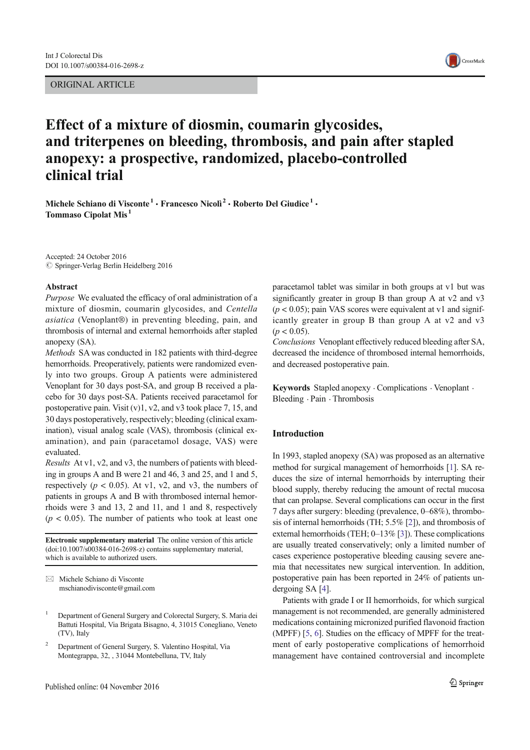ORIGINAL ARTICLE



# Effect of a mixture of diosmin, coumarin glycosides, and triterpenes on bleeding, thrombosis, and pain after stapled anopexy: a prospective, randomized, placebo-controlled clinical trial

Michele Schiano di Visconte<sup>1</sup> · Francesco Nicolì<sup>2</sup> · Roberto Del Giudice<sup>1</sup> · Tommaso Cipolat Mis <sup>1</sup>

Accepted: 24 October 2016  $\oslash$  Springer-Verlag Berlin Heidelberg 2016

#### Abstract

Purpose We evaluated the efficacy of oral administration of a mixture of diosmin, coumarin glycosides, and Centella asiatica (Venoplant®) in preventing bleeding, pain, and thrombosis of internal and external hemorrhoids after stapled anopexy (SA).

Methods SA was conducted in 182 patients with third-degree hemorrhoids. Preoperatively, patients were randomized evenly into two groups. Group A patients were administered Venoplant for 30 days post-SA, and group B received a placebo for 30 days post-SA. Patients received paracetamol for postoperative pain. Visit (v)1, v2, and v3 took place 7, 15, and 30 days postoperatively, respectively; bleeding (clinical examination), visual analog scale (VAS), thrombosis (clinical examination), and pain (paracetamol dosage, VAS) were evaluated.

Results At v1, v2, and v3, the numbers of patients with bleeding in groups A and B were 21 and 46, 3 and 25, and 1 and 5, respectively ( $p < 0.05$ ). At v1, v2, and v3, the numbers of patients in groups A and B with thrombosed internal hemorrhoids were 3 and 13, 2 and 11, and 1 and 8, respectively  $(p < 0.05)$ . The number of patients who took at least one

Electronic supplementary material The online version of this article (doi:10.1007/s00384-016-2698-z) contains supplementary material, which is available to authorized users.

 $\boxtimes$  Michele Schiano di Visconte mschianodivisconte@gmail.com

<sup>2</sup> Department of General Surgery, S. Valentino Hospital, Via Montegrappa, 32, , 31044 Montebelluna, TV, Italy

paracetamol tablet was similar in both groups at v1 but was significantly greater in group B than group A at v2 and v3  $(p < 0.05)$ ; pain VAS scores were equivalent at v1 and significantly greater in group B than group A at v2 and v3  $(p < 0.05)$ .

Conclusions Venoplant effectively reduced bleeding after SA, decreased the incidence of thrombosed internal hemorrhoids, and decreased postoperative pain.

Keywords Stapled anopexy . Complications . Venoplant . Bleeding . Pain . Thrombosis

# Introduction

In 1993, stapled anopexy (SA) was proposed as an alternative method for surgical management of hemorrhoids [1]. SA reduces the size of internal hemorrhoids by interrupting their blood supply, thereby reducing the amount of rectal mucosa that can prolapse. Several complications can occur in the first 7 days after surgery: bleeding (prevalence, 0–68%), thrombosis of internal hemorrhoids (TH; 5.5% [2]), and thrombosis of external hemorrhoids (TEH; 0–13% [3]). These complications are usually treated conservatively; only a limited number of cases experience postoperative bleeding causing severe anemia that necessitates new surgical intervention. In addition, postoperative pain has been reported in 24% of patients undergoing SA [4].

Patients with grade I or II hemorrhoids, for which surgical management is not recommended, are generally administered medications containing micronized purified flavonoid fraction (MPFF) [5, 6]. Studies on the efficacy of MPFF for the treatment of early postoperative complications of hemorrhoid management have contained controversial and incomplete

<sup>1</sup> Department of General Surgery and Colorectal Surgery, S. Maria dei Battuti Hospital, Via Brigata Bisagno, 4, 31015 Conegliano, Veneto (TV), Italy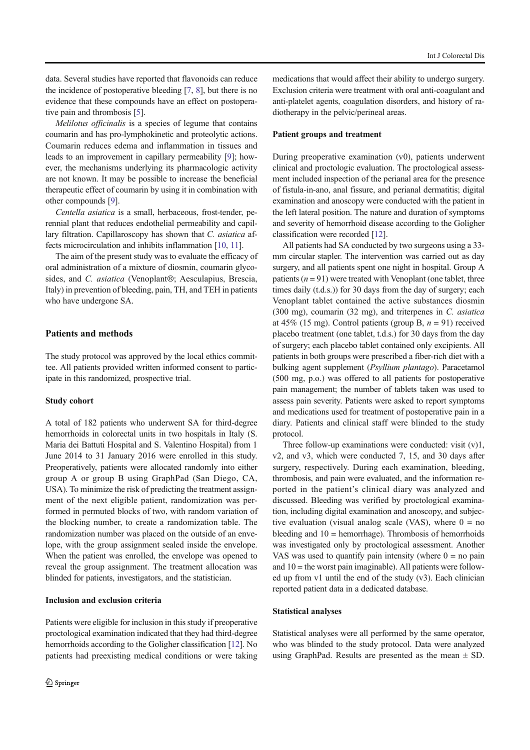data. Several studies have reported that flavonoids can reduce the incidence of postoperative bleeding [7, 8], but there is no evidence that these compounds have an effect on postoperative pain and thrombosis [5].

Melilotus officinalis is a species of legume that contains coumarin and has pro-lymphokinetic and proteolytic actions. Coumarin reduces edema and inflammation in tissues and leads to an improvement in capillary permeability [9]; however, the mechanisms underlying its pharmacologic activity are not known. It may be possible to increase the beneficial therapeutic effect of coumarin by using it in combination with other compounds [9].

Centella asiatica is a small, herbaceous, frost-tender, perennial plant that reduces endothelial permeability and capillary filtration. Capillaroscopy has shown that C. asiatica affects microcirculation and inhibits inflammation [10, 11].

The aim of the present study was to evaluate the efficacy of oral administration of a mixture of diosmin, coumarin glycosides, and C. asiatica (Venoplant®; Aesculapius, Brescia, Italy) in prevention of bleeding, pain, TH, and TEH in patients who have undergone SA.

## Patients and methods

The study protocol was approved by the local ethics committee. All patients provided written informed consent to participate in this randomized, prospective trial.

#### Study cohort

A total of 182 patients who underwent SA for third-degree hemorrhoids in colorectal units in two hospitals in Italy (S. Maria dei Battuti Hospital and S. Valentino Hospital) from 1 June 2014 to 31 January 2016 were enrolled in this study. Preoperatively, patients were allocated randomly into either group A or group B using GraphPad (San Diego, CA, USA). To minimize the risk of predicting the treatment assignment of the next eligible patient, randomization was performed in permuted blocks of two, with random variation of the blocking number, to create a randomization table. The randomization number was placed on the outside of an envelope, with the group assignment sealed inside the envelope. When the patient was enrolled, the envelope was opened to reveal the group assignment. The treatment allocation was blinded for patients, investigators, and the statistician.

# Inclusion and exclusion criteria

Patients were eligible for inclusion in this study if preoperative proctological examination indicated that they had third-degree hemorrhoids according to the Goligher classification [12]. No patients had preexisting medical conditions or were taking medications that would affect their ability to undergo surgery. Exclusion criteria were treatment with oral anti-coagulant and anti-platelet agents, coagulation disorders, and history of radiotherapy in the pelvic/perineal areas.

## Patient groups and treatment

During preoperative examination (v0), patients underwent clinical and proctologic evaluation. The proctological assessment included inspection of the perianal area for the presence of fistula-in-ano, anal fissure, and perianal dermatitis; digital examination and anoscopy were conducted with the patient in the left lateral position. The nature and duration of symptoms and severity of hemorrhoid disease according to the Goligher classification were recorded [12].

All patients had SA conducted by two surgeons using a 33 mm circular stapler. The intervention was carried out as day surgery, and all patients spent one night in hospital. Group A patients  $(n = 91)$  were treated with Venoplant (one tablet, three times daily (t.d.s.)) for 30 days from the day of surgery; each Venoplant tablet contained the active substances diosmin (300 mg), coumarin (32 mg), and triterpenes in C. asiatica at 45% (15 mg). Control patients (group B,  $n = 91$ ) received placebo treatment (one tablet, t.d.s.) for 30 days from the day of surgery; each placebo tablet contained only excipients. All patients in both groups were prescribed a fiber-rich diet with a bulking agent supplement (Psyllium plantago). Paracetamol (500 mg, p.o.) was offered to all patients for postoperative pain management; the number of tablets taken was used to assess pain severity. Patients were asked to report symptoms and medications used for treatment of postoperative pain in a diary. Patients and clinical staff were blinded to the study protocol.

Three follow-up examinations were conducted: visit  $(v)$ 1, v2, and v3, which were conducted 7, 15, and 30 days after surgery, respectively. During each examination, bleeding, thrombosis, and pain were evaluated, and the information reported in the patient's clinical diary was analyzed and discussed. Bleeding was verified by proctological examination, including digital examination and anoscopy, and subjective evaluation (visual analog scale (VAS), where  $0 = no$ bleeding and  $10 =$  hemorrhage). Thrombosis of hemorrhoids was investigated only by proctological assessment. Another VAS was used to quantify pain intensity (where  $0 =$  no pain and  $10 =$  the worst pain imaginable). All patients were followed up from v1 until the end of the study (v3). Each clinician reported patient data in a dedicated database.

#### Statistical analyses

Statistical analyses were all performed by the same operator, who was blinded to the study protocol. Data were analyzed using GraphPad. Results are presented as the mean  $\pm$  SD.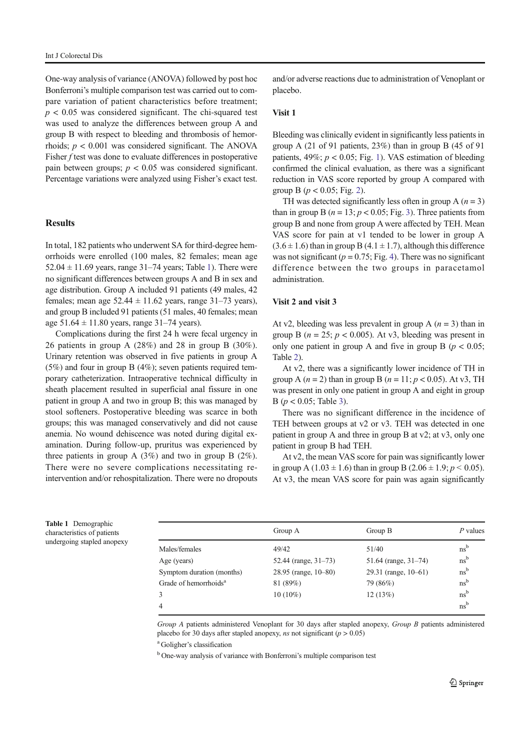One-way analysis of variance (ANOVA) followed by post hoc Bonferroni's multiple comparison test was carried out to compare variation of patient characteristics before treatment;  $p < 0.05$  was considered significant. The chi-squared test was used to analyze the differences between group A and group B with respect to bleeding and thrombosis of hemorrhoids;  $p < 0.001$  was considered significant. The ANOVA Fisher f test was done to evaluate differences in postoperative pain between groups;  $p < 0.05$  was considered significant. Percentage variations were analyzed using Fisher's exact test.

# **Results**

In total, 182 patients who underwent SA for third-degree hemorrhoids were enrolled (100 males, 82 females; mean age  $52.04 \pm 11.69$  years, range 31–74 years; Table 1). There were no significant differences between groups A and B in sex and age distribution. Group A included 91 patients (49 males, 42 females; mean age  $52.44 \pm 11.62$  years, range  $31-73$  years), and group B included 91 patients (51 males, 40 females; mean age  $51.64 \pm 11.80$  years, range  $31-74$  years).

Complications during the first 24 h were fecal urgency in 26 patients in group A (28%) and 28 in group B (30%). Urinary retention was observed in five patients in group A  $(5%)$  and four in group B  $(4%)$ ; seven patients required temporary catheterization. Intraoperative technical difficulty in sheath placement resulted in superficial anal fissure in one patient in group A and two in group B; this was managed by stool softeners. Postoperative bleeding was scarce in both groups; this was managed conservatively and did not cause anemia. No wound dehiscence was noted during digital examination. During follow-up, pruritus was experienced by three patients in group A (3%) and two in group B (2%). There were no severe complications necessitating reintervention and/or rehospitalization. There were no dropouts and/or adverse reactions due to administration of Venoplant or placebo.

## Visit 1

Bleeding was clinically evident in significantly less patients in group A (21 of 91 patients, 23%) than in group B (45 of 91 patients,  $49\%$ ;  $p < 0.05$ ; Fig. 1). VAS estimation of bleeding confirmed the clinical evaluation, as there was a significant reduction in VAS score reported by group A compared with group B ( $p < 0.05$ ; Fig. 2).

TH was detected significantly less often in group A  $(n = 3)$ than in group B ( $n = 13$ ;  $p < 0.05$ ; Fig. 3). Three patients from group B and none from group A were affected by TEH. Mean VAS score for pain at v1 tended to be lower in group A  $(3.6 \pm 1.6)$  than in group B  $(4.1 \pm 1.7)$ , although this difference was not significant ( $p = 0.75$ ; Fig. 4). There was no significant difference between the two groups in paracetamol administration.

#### Visit 2 and visit 3

At v2, bleeding was less prevalent in group A ( $n = 3$ ) than in group B ( $n = 25$ ;  $p < 0.005$ ). At v3, bleeding was present in only one patient in group A and five in group B ( $p < 0.05$ ; Table 2).

At v2, there was a significantly lower incidence of TH in group A  $(n = 2)$  than in group B  $(n = 11; p < 0.05)$ . At v3, TH was present in only one patient in group A and eight in group B ( $p < 0.05$ ; Table 3).

There was no significant difference in the incidence of TEH between groups at v2 or v3. TEH was detected in one patient in group A and three in group B at v2; at v3, only one patient in group B had TEH.

At v2, the mean VAS score for pain was significantly lower in group A (1.03  $\pm$  1.6) than in group B (2.06  $\pm$  1.9;  $p$  < 0.05). At v3, the mean VAS score for pain was again significantly

Table 1 Demographic characteristics of patients undergoing stapled anopexy

|                                   | Group A              | Group B                 | P values        |
|-----------------------------------|----------------------|-------------------------|-----------------|
| Males/females                     | 49/42                | 51/40                   | $ns^b$          |
| Age (years)                       | 52.44 (range, 31-73) | 51.64 (range, $31-74$ ) | $ns^b$          |
| Symptom duration (months)         | 28.95 (range, 10–80) | 29.31 (range, $10-61$ ) | $ns^b$          |
| Grade of hemorrhoids <sup>a</sup> | 81 (89%)             | 79 (86%)                | ns <sup>b</sup> |
| 3                                 | $10(10\%)$           | 12(13%)                 | ns <sup>b</sup> |
| $\overline{4}$                    |                      |                         | ns <sup>b</sup> |

Group A patients administered Venoplant for 30 days after stapled anopexy, Group B patients administered placebo for 30 days after stapled anopexy, ns not significant ( $p > 0.05$ )

<sup>a</sup> Goligher's classification

<sup>b</sup> One-way analysis of variance with Bonferroni's multiple comparison test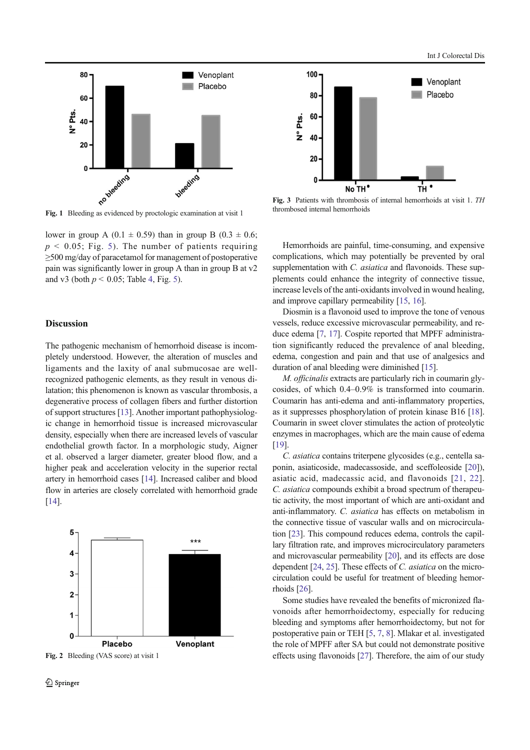

Fig. 1 Bleeding as evidenced by proctologic examination at visit 1

lower in group A (0.1  $\pm$  0.59) than in group B (0.3  $\pm$  0.6;  $p \le 0.05$ ; Fig. 5). The number of patients requiring ≥500 mg/day of paracetamol for management of postoperative pain was significantly lower in group A than in group B at v2 and v3 (both  $p < 0.05$ ; Table 4, Fig. 5).

## **Discussion**

The pathogenic mechanism of hemorrhoid disease is incompletely understood. However, the alteration of muscles and ligaments and the laxity of anal submucosae are wellrecognized pathogenic elements, as they result in venous dilatation; this phenomenon is known as vascular thrombosis, a degenerative process of collagen fibers and further distortion of support structures [13]. Another important pathophysiologic change in hemorrhoid tissue is increased microvascular density, especially when there are increased levels of vascular endothelial growth factor. In a morphologic study, Aigner et al. observed a larger diameter, greater blood flow, and a higher peak and acceleration velocity in the superior rectal artery in hemorrhoid cases [14]. Increased caliber and blood flow in arteries are closely correlated with hemorrhoid grade [14].



Fig. 2 Bleeding (VAS score) at visit 1



Fig. 3 Patients with thrombosis of internal hemorrhoids at visit 1. TH thrombosed internal hemorrhoids

Hemorrhoids are painful, time-consuming, and expensive complications, which may potentially be prevented by oral supplementation with C. *asiatica* and flavonoids. These supplements could enhance the integrity of connective tissue, increase levels of the anti-oxidants involved in wound healing, and improve capillary permeability [15, 16].

Diosmin is a flavonoid used to improve the tone of venous vessels, reduce excessive microvascular permeability, and reduce edema [7, 17]. Cospite reported that MPFF administration significantly reduced the prevalence of anal bleeding, edema, congestion and pain and that use of analgesics and duration of anal bleeding were diminished [15].

M. officinalis extracts are particularly rich in coumarin glycosides, of which 0.4–0.9% is transformed into coumarin. Coumarin has anti-edema and anti-inflammatory properties, as it suppresses phosphorylation of protein kinase B16 [18]. Coumarin in sweet clover stimulates the action of proteolytic enzymes in macrophages, which are the main cause of edema [19].

C. asiatica contains triterpene glycosides (e.g., centella saponin, asiaticoside, madecassoside, and sceffoleoside [20]), asiatic acid, madecassic acid, and flavonoids [21, 22]. C. asiatica compounds exhibit a broad spectrum of therapeutic activity, the most important of which are anti-oxidant and anti-inflammatory. C. asiatica has effects on metabolism in the connective tissue of vascular walls and on microcirculation [23]. This compound reduces edema, controls the capillary filtration rate, and improves microcirculatory parameters and microvascular permeability [20], and its effects are dose dependent [24, 25]. These effects of C. asiatica on the microcirculation could be useful for treatment of bleeding hemorrhoids [26].

Some studies have revealed the benefits of micronized flavonoids after hemorrhoidectomy, especially for reducing bleeding and symptoms after hemorrhoidectomy, but not for postoperative pain or TEH [5, 7, 8]. Mlakar et al. investigated the role of MPFF after SA but could not demonstrate positive effects using flavonoids [27]. Therefore, the aim of our study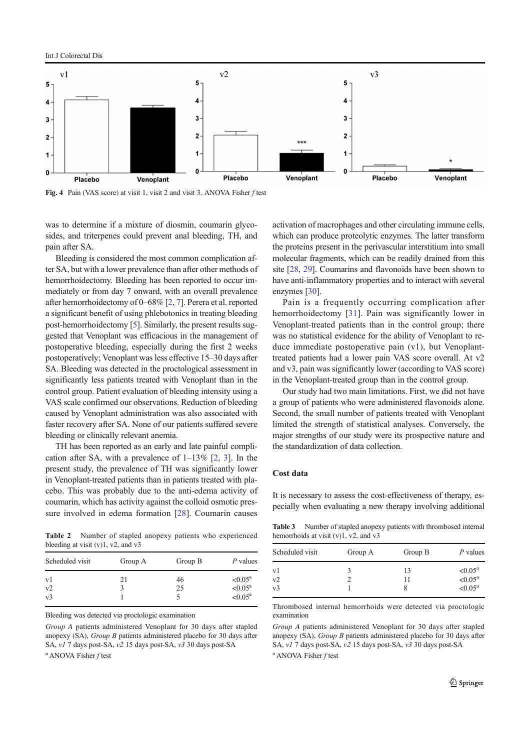Int J Colorectal Dis



Fig. 4 Pain (VAS score) at visit 1, visit 2 and visit 3. ANOVA Fisher f test

was to determine if a mixture of diosmin, coumarin glycosides, and triterpenes could prevent anal bleeding, TH, and pain after SA.

Bleeding is considered the most common complication after SA, but with a lower prevalence than after other methods of hemorrhoidectomy. Bleeding has been reported to occur immediately or from day 7 onward, with an overall prevalence after hemorrhoidectomy of 0–68% [2, 7]. Perera et al. reported a significant benefit of using phlebotonics in treating bleeding post-hemorrhoidectomy [5]. Similarly, the present results suggested that Venoplant was efficacious in the management of postoperative bleeding, especially during the first 2 weeks postoperatively; Venoplant was less effective 15–30 days after SA. Bleeding was detected in the proctological assessment in significantly less patients treated with Venoplant than in the control group. Patient evaluation of bleeding intensity using a VAS scale confirmed our observations. Reduction of bleeding caused by Venoplant administration was also associated with faster recovery after SA. None of our patients suffered severe bleeding or clinically relevant anemia.

TH has been reported as an early and late painful complication after SA, with a prevalence of  $1-13\%$  [2, 3]. In the present study, the prevalence of TH was significantly lower in Venoplant-treated patients than in patients treated with placebo. This was probably due to the anti-edema activity of coumarin, which has activity against the colloid osmotic pressure involved in edema formation [28]. Coumarin causes

Table 2 Number of stapled anopexy patients who experienced bleeding at visit (v)1, v2, and v3

| Scheduled visit | Group A | Group B | P values            |
|-----------------|---------|---------|---------------------|
| v1              | 21      | 46      | $< 0.05^{\text{a}}$ |
| v2              |         | 25      | $< 0.05^{\text{a}}$ |
| v <sub>3</sub>  |         |         | $< 0.05^{\text{a}}$ |

Bleeding was detected via proctologic examination

Group A patients administered Venoplant for 30 days after stapled anopexy (SA), Group B patients administered placebo for 30 days after SA, v1 7 days post-SA, v2 15 days post-SA, v3 30 days post-SA

<sup>a</sup> ANOVA Fisher f test

activation of macrophages and other circulating immune cells, which can produce proteolytic enzymes. The latter transform the proteins present in the perivascular interstitium into small molecular fragments, which can be readily drained from this site [28, 29]. Coumarins and flavonoids have been shown to have anti-inflammatory properties and to interact with several enzymes [30].

Pain is a frequently occurring complication after hemorrhoidectomy [31]. Pain was significantly lower in Venoplant-treated patients than in the control group; there was no statistical evidence for the ability of Venoplant to reduce immediate postoperative pain (v1), but Venoplanttreated patients had a lower pain VAS score overall. At v2 and v3, pain was significantly lower (according to VAS score) in the Venoplant-treated group than in the control group.

Our study had two main limitations. First, we did not have a group of patients who were administered flavonoids alone. Second, the small number of patients treated with Venoplant limited the strength of statistical analyses. Conversely, the major strengths of our study were its prospective nature and the standardization of data collection.

# Cost data

It is necessary to assess the cost-effectiveness of therapy, especially when evaluating a new therapy involving additional

Table 3 Number of stapled anopexy patients with thrombosed internal hemorrhoids at visit (v)1, v2, and v3

| Scheduled visit | Group A | Group B  | P values                                   |
|-----------------|---------|----------|--------------------------------------------|
| v1<br>v2        |         | 13<br>11 | $< 0.05^{\text{a}}$<br>$< 0.05^{\text{a}}$ |
| v <sub>3</sub>  |         |          | $< 0.05^{\text{a}}$                        |

Thrombosed internal hemorrhoids were detected via proctologic examination

Group A patients administered Venoplant for 30 days after stapled anopexy (SA), Group B patients administered placebo for 30 days after SA, v1 7 days post-SA, v2 15 days post-SA, v3 30 days post-SA <sup>a</sup> ANOVA Fisher f test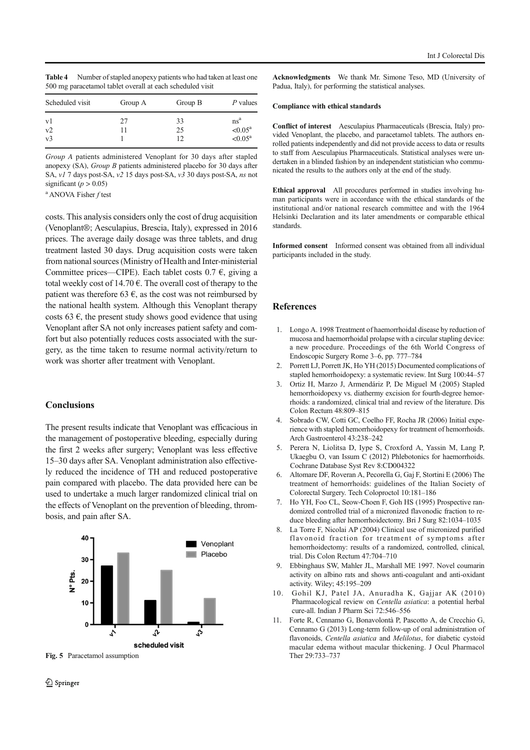| <b>Table 4</b> | Number of stapled anopexy patients who had taken at least one |
|----------------|---------------------------------------------------------------|
|                | 500 mg paracetamol tablet overall at each scheduled visit     |

| Scheduled visit | Group A | Group B | P values            |
|-----------------|---------|---------|---------------------|
| v1              | 27      | 33      | ns <sup>a</sup>     |
| v2              |         | 25      | $< 0.05^{\text{a}}$ |
| v <sub>3</sub>  |         | 12      | $< 0.05^{\text{a}}$ |

Group A patients administered Venoplant for 30 days after stapled anopexy (SA), Group B patients administered placebo for 30 days after SA, v1 7 days post-SA, v2 15 days post-SA, v3 30 days post-SA, ns not significant ( $p > 0.05$ )

<sup>a</sup> ANOVA Fisher f test

costs. This analysis considers only the cost of drug acquisition (Venoplant®; Aesculapius, Brescia, Italy), expressed in 2016 prices. The average daily dosage was three tablets, and drug treatment lasted 30 days. Drug acquisition costs were taken from national sources (Ministry of Health and Inter-ministerial Committee prices—CIPE). Each tablet costs  $0.7 \epsilon$ , giving a total weekly cost of 14.70  $\epsilon$ . The overall cost of therapy to the patient was therefore 63  $\epsilon$ , as the cost was not reimbursed by the national health system. Although this Venoplant therapy costs 63  $\epsilon$ , the present study shows good evidence that using Venoplant after SA not only increases patient safety and comfort but also potentially reduces costs associated with the surgery, as the time taken to resume normal activity/return to work was shorter after treatment with Venoplant.

# **Conclusions**

The present results indicate that Venoplant was efficacious in the management of postoperative bleeding, especially during the first 2 weeks after surgery; Venoplant was less effective 15–30 days after SA. Venoplant administration also effectively reduced the incidence of TH and reduced postoperative pain compared with placebo. The data provided here can be used to undertake a much larger randomized clinical trial on the effects of Venoplant on the prevention of bleeding, thrombosis, and pain after SA.



Fig. 5 Paracetamol assumption

Acknowledgments We thank Mr. Simone Teso, MD (University of Padua, Italy), for performing the statistical analyses.

#### Compliance with ethical standards

Conflict of interest Aesculapius Pharmaceuticals (Brescia, Italy) provided Venoplant, the placebo, and paracetamol tablets. The authors enrolled patients independently and did not provide access to data or results to staff from Aesculapius Pharmaceuticals. Statistical analyses were undertaken in a blinded fashion by an independent statistician who communicated the results to the authors only at the end of the study.

Ethical approval All procedures performed in studies involving human participants were in accordance with the ethical standards of the institutional and/or national research committee and with the 1964 Helsinki Declaration and its later amendments or comparable ethical standards.

Informed consent Informed consent was obtained from all individual participants included in the study.

#### **References**

- 1. Longo A. 1998 Treatment of haemorrhoidal disease by reduction of mucosa and haemorrhoidal prolapse with a circular stapling device: a new procedure. Proceedings of the 6th World Congress of Endoscopic Surgery Rome 3–6, pp. 777–784
- 2. Porrett LJ, Porrett JK, Ho YH (2015) Documented complications of stapled hemorrhoidopexy: a systematic review. Int Surg 100:44–57
- 3. Ortiz H, Marzo J, Armendáriz P, De Miguel M (2005) Stapled hemorrhoidopexy vs. diathermy excision for fourth-degree hemorrhoids: a randomized, clinical trial and review of the literature. Dis Colon Rectum 48:809–815
- 4. Sobrado CW, Cotti GC, Coelho FF, Rocha JR (2006) Initial experience with stapled hemorrhoidopexy for treatment of hemorrhoids. Arch Gastroenterol 43:238–242
- 5. Perera N, Liolitsa D, Iype S, Croxford A, Yassin M, Lang P, Ukaegbu O, van Issum C (2012) Phlebotonics for haemorrhoids. Cochrane Database Syst Rev 8:CD004322
- 6. Altomare DF, Roveran A, Pecorella G, Gaj F, Stortini E (2006) The treatment of hemorrhoids: guidelines of the Italian Society of Colorectal Surgery. Tech Coloproctol 10:181–186
- 7. Ho YH, Foo CL, Seow-Choen F, Goh HS (1995) Prospective randomized controlled trial of a micronized flavonodic fraction to reduce bleeding after hemorrhoidectomy. Bri J Surg 82:1034–1035
- 8. La Torre F, Nicolai AP (2004) Clinical use of micronized purified flavonoid fraction for treatment of symptoms after hemorrhoidectomy: results of a randomized, controlled, clinical, trial. Dis Colon Rectum 47:704–710
- 9. Ebbinghaus SW, Mahler JL, Marshall ME 1997. Novel coumarin activity on albino rats and shows anti-coagulant and anti-oxidant activity. Wiley; 45:195–209
- 10. Gohil KJ, Patel JA, Anuradha K, Gajjar AK (2010) Pharmacological review on Centella asiatica: a potential herbal cure-all. Indian J Pharm Sci 72:546–556
- 11. Forte R, Cennamo G, Bonavolontà P, Pascotto A, de Crecchio G, Cennamo G (2013) Long-term follow-up of oral administration of flavonoids, Centella asiatica and Melilotus, for diabetic cystoid macular edema without macular thickening. J Ocul Pharmacol Ther 29:733–737